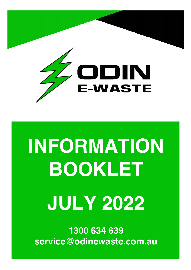

# **INFORMATION BOOKLET JULY 2022**

**1300 634 639 service@odinewaste.com.au**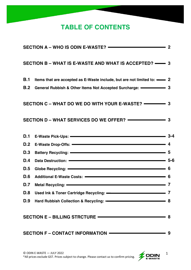# **TABLE OF CONTENTS**

|                                                                                                                                                                                                                                     | SECTION A - WHO IS ODIN E-WASTE? - 2                                                                                                                                                                                           |   |  |  |
|-------------------------------------------------------------------------------------------------------------------------------------------------------------------------------------------------------------------------------------|--------------------------------------------------------------------------------------------------------------------------------------------------------------------------------------------------------------------------------|---|--|--|
|                                                                                                                                                                                                                                     | SECTION B - WHAT IS E-WASTE AND WHAT IS ACCEPTED? —— 3                                                                                                                                                                         |   |  |  |
| <b>B.1</b>                                                                                                                                                                                                                          | Items that are accepted as E-Waste include, but are not limited to: - 2                                                                                                                                                        |   |  |  |
|                                                                                                                                                                                                                                     | B.2 General Rubbish & Other Items Not Accepted Surcharge: • 3                                                                                                                                                                  |   |  |  |
|                                                                                                                                                                                                                                     |                                                                                                                                                                                                                                |   |  |  |
|                                                                                                                                                                                                                                     |                                                                                                                                                                                                                                |   |  |  |
| D.1                                                                                                                                                                                                                                 | E-Waste Pick-Ups: - 3-4                                                                                                                                                                                                        |   |  |  |
|                                                                                                                                                                                                                                     | D.2 E-Waste Drop-Offs: - 4                                                                                                                                                                                                     |   |  |  |
| <b>D.3</b>                                                                                                                                                                                                                          | Battery Recycling: - 5                                                                                                                                                                                                         |   |  |  |
| D.4                                                                                                                                                                                                                                 | Data Destruction: - 5-6                                                                                                                                                                                                        |   |  |  |
| <b>D.5</b>                                                                                                                                                                                                                          |                                                                                                                                                                                                                                |   |  |  |
| <b>D.6</b>                                                                                                                                                                                                                          | Additional E-Waste Costs: - 6                                                                                                                                                                                                  |   |  |  |
| D.7                                                                                                                                                                                                                                 | Metal Recycling: <u>- Alexander Communication</u> of The Metal Recycling:                                                                                                                                                      |   |  |  |
| D.8                                                                                                                                                                                                                                 | Used Ink & Toner Cartridge Recycling: - The Context of the Cartridge Recycling:                                                                                                                                                |   |  |  |
| <b>D.9</b>                                                                                                                                                                                                                          | Hard Rubbish Collection & Recycling: - The Manuscripture of the Manuscripture of the Manuscripture of the Manuscripture of the Manuscripture of the Manuscripture of the Manuscripture of the Manuscripture of the Manuscriptu | 8 |  |  |
| SECTION E - BILLING STRCTURE - THE SECTION OF A SECTION CONTROL STREET OF A SECTION OF A SECTION OF A SECTION OF A SECTION OF A SECTION OF A SECTION OF A SECTION OF A SECTION OF A SECTION OF A SECTION OF A SECTION OF A SEC<br>8 |                                                                                                                                                                                                                                |   |  |  |
| SECTION F - CONTACT INFORMATION ————————————<br>-9                                                                                                                                                                                  |                                                                                                                                                                                                                                |   |  |  |



1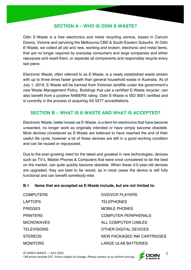### **SECTION A – WHO IS ODIN E-WASTE?**

Odin E-Waste is a free electronics and metal recycling service, based in Carrum Downs, Victoria and servicing the Melbourne CBD & South-Eastern Suburbs. At Odin E-Waste, we collect all old and new, working and broken, electronic and metal items, that are no longer required by everyday consumers and large companies and either repurpose and resell them, or separate all components and responsibly recycle every last piece.

Electronic Waste, often referred to as E-Waste, is a newly established waste stream with up to three times faster growth than general household waste in Australia. As of July 1, 2019, E-Waste will be banned from Victorian landfills under the government's new Waste Management Policy. Buildings that use a certified E-Waste recycler, can also benefit from a positive NABERS rating. Odin E-Waste is ISO 9001 certified and is currently in the process of acquiring AS 5377 accreditations.

#### **SECTION B – WHAT IS E-WASTE AND WHAT IS ACCEPTED?**

Electronic Waste, better known as E-Waste, is a term for electronics that have become unwanted, no longer work as originally intended or have simply become obsolete. Most devices considered as E-Waste are believed to have reached the end of their useful life cycle, however a lot of these devices are still in a good working condition and can be reused or repurposed.

Due to the ever-growing need for the latest and greatest in new technologies, devices such as TV's, Mobile Phones & Computers that were once considered to be the best on the market, can quite quickly become obsolete. When these 3-5-year-old devices are upgraded, they are best to be resold, as in most cases the device is still fully functional and can benefit somebody else.

#### **B.1 Items that are accepted as E-Waste include, but are not limited to:**

| <b>COMPUTERS</b>   | <b>DVD/VCR PLAYERS</b>       |
|--------------------|------------------------------|
| <b>LAPTOPS</b>     | <b>TELEPHONES</b>            |
| <b>FRIDGES</b>     | <b>MOBILE PHONES</b>         |
| <b>PRINTERS</b>    | <b>COMPUTER PERIPHERALS</b>  |
| <b>MICROWAVES</b>  | ALL COMPUTER CABLES          |
| <b>TELEVISIONS</b> | <b>OTHER DIGITAL DEVICES</b> |
| <b>STEREOS</b>     | NEW PACKAGED INK CARTRIDGES  |
| <b>MONITORS</b>    | <b>LARGE ULAB BATTERIES</b>  |

© ODIN E-WASTE — JULY 2022 \*All prices exclude GST. Prices subject to change. Please contact us to confirm pricing.

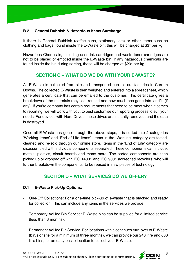#### **B.2 General Rubbish & Hazardous Items Surcharge:**

If there is General Rubbish (coffee cups, stationary, etc) or other items such as clothing and bags, found inside the E-Waste bin, this will be charged at \$3\* per kg.

Hazardous Chemicals, including used ink cartridges and waste toner cartridges are not to be placed or emptied inside the E-Waste bin. If any hazardous chemicals are found inside the bin during sorting, these will be charged at \$20\* per kg.

# **SECTION C – WHAT DO WE DO WITH YOUR E-WASTE?**

All E-Waste is collected from site and transported back to our factories in Carrum Downs. The collected E-Waste is then weighed and entered into a spreadsheet, which generates a certificate that can be emailed to the customer. This certificate gives a breakdown of the materials recycled, reused and how much has gone into landfill (if any). If you're company has certain requirements that need to be meet when it comes to reporting, we will work with you, to best customise our reporting process to suit your needs. For devices with Hard Drives, these drives are instantly removed, and the data is destroyed.

Once all E-Waste has gone through the above steps, it is sorted into 2 categories 'Working Items' and 'End of Life Items'. Items in the 'Working' category are tested, cleaned and re-sold through our online store. Items in the 'End of Life' category are disassembled with individual components separated. These components can include, metals, plastics, circuit boards and many more. The sorted components are then picked up or dropped off with ISO 14001 and ISO 9001 accredited recyclers, who will further breakdown the components, to be reused in new pieces of technology.

# **SECTION D – WHAT SERVICES DO WE OFFER?**

#### **D.1 E-Waste Pick-Up Options:**

- One-Off Collections: For a one-time pick-up of e-waste that is stacked and ready for collection. This can include any items in the services we provide.
- Temporary AdHoc Bin Service: E-Waste bins can be supplied for a limited service (less than 3 months).
- Permanent AdHoc Bin Service: For locations with a continues turn-over of E-Waste (bin/s onsite for a minimum of three months), we can provide our 240 litre and 660 litre bins, for an easy onsite location to collect your E-Waste.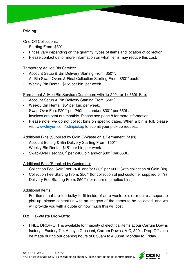#### **Pricing:**

One-Off Collections:

- Starting From: \$30\*^
- Prices vary depending on the quantity, types of items and location of collection.
- Please contact us for more information on what items may reduce this cost.

Temporary AdHoc Bin Service:

- Account Setup & Bin Delivery Starting From: \$50\*^.
- All Bin Swap-Overs & Final Collection Starting From: \$50\*^ each.
- Weekly Bin Rental: \$15\* per bin, per week.

#### Permanent AdHoc Bin Service (Customers with 1x 240L or 1x 660L Bin):

- Account Setup & Bin Delivery Starting From: \$50\*^.
- Weekly Bin Rental: \$5\* per bin, per week.
- Swap-Over Fee: \$20\*^ per 240L bin and/or \$30\*^ per 660L.
- Invoices are sent out monthly. Please see page 8 for more information.
- Please note, we do not collect bins on specific dates. When a bin is full, please visit www.tinyurl.com/odinpickup to submit your pick-up request.

Additional Bins (Supplied by Odin E-Waste on a Permanent Basis):

- Account Editing & Bin Delivery Starting From: \$50\*^.
- Weekly Bin Rental: \$15\* per bin, per week.
- Swap-Over Fee: \$20\*^ per 240L bin and/or \$30\*^ per 660L.

Additional Bins (Supplied by Customer):

- Collection Fee: \$20\*^ per 240L and/or \$30\*^ per 660L (with collection of Odin Bin)
- Collection Fee Starting From: \$50<sup>\*</sup> (for collection of just customer supplied bin/s)
- Delivery Fee Starting From: \$50<sup>\*^</sup> (for return of emptied bins).

Additional Items:

- For items that are too bulky to fit inside of an e-waste bin, or require a separate pick-up, please contact us with an image/s of the item/s to be collected, and we will provide you with a quote on how much this will cost.

#### **D.2 E-Waste Drop-Offs:**

- FREE DROP-OFF is available for majority of electrical items at our Carrum Downs factory – Factory 7, 4 Amayla Crescent, Carrum Downs, VIC, 3201. Drop-Offs can be made during our opening hours of 8:30am to 4:00pm, Monday to Friday.

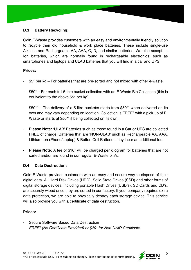#### **D.3 Battery Recycling:**

Odin E-Waste provides customers with an easy and environmentally friendly solution to recycle their old household & work place batteries. These include single-use Alkaline and Rechargeable AA, AAA, C, D, and similar batteries. We also accept Li-Ion batteries, which are normally found in rechargeable electronics, such as smartphones and laptops and ULAB batteries that you will find in a car and UPS.

#### **Prices:**

- $$5^{\ast}$$  per kg For batteries that are pre-sorted and not mixed with other e-waste.
- \$50\* For each full 5-litre bucket collection with an E-Waste Bin Collection (this is equivalent to the above \$5\* per kg).
- $$50^{\star}$ <sup> $\sim$ </sup> The delivery of a 5-litre bucket/s starts from \$50<sup>\*</sup> when delivered on its own and may vary depending on location. Collection is FREE\* with a pick-up of E-Waste or starts at \$50<sup>\*^</sup> if being collected on its own.
- **Please Note:** 'ULAB' Batteries such as those found in a Car or UPS are collected FREE of charge. Batteries that are 'NON-ULAB' such as Rechargeable AA, AAA, Lithium-Ion (Phone/Laptop) & Button Cell Batteries may incur an additional fee.
- **Please Note:** A fee of \$10<sup>\*</sup> will be charged per kilogram for batteries that are not sorted and/or are found in our regular E-Waste bin/s.

#### **D.4 Data Destruction:**

Odin E-Waste provides customers with an easy and secure way to dispose of their digital data. All Hard Disk Drives (HDD), Solid State Drives (SSD) and other forms of digital storage devices, including portable Flash Drives (USB's), SD Cards and CD's, are securely wiped once they are sorted in our factory. If your company requires extra data protection, we are able to physically destroy each storage device. This service will also provide you with a certificate of data destruction.

#### **Prices:**

- Secure Software Based Data Destruction *FREE\* (No Certificate Provided) or \$20\* for Non-NAID Certificate.*



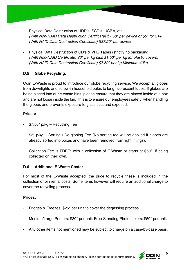- Physical Data Destruction of HDD's, SSD's, USB's, etc. *(With Non-NAID Data Destruction Certificate) \$7.50\* per device or \$5\* for 21+ (With NAID Data Destruction Certificate) \$27.50\* per device*
- Physical Data Destruction of CD's & VHS Tapes (strictly no packaging). *(With Non-NAID Certificate) \$3\* per kg plus \$1.50\* per kg for plastic covers. (With NAID Data Destruction Certificate) \$7.50\* per kg Minimum 40kg.*

#### **D.5 Globe Recycling:**

Odin E-Waste is proud to introduce our globe recycling service. We accept all globes from downlights and screw-in household bulbs to long fluorescent tubes. If globes are being placed into our e-waste bins, please ensure that they are placed inside of a box and are not loose inside the bin. This is to ensure our employees safety, when handling the globes and prevents exposure to glass cuts and exposed.

#### **Prices:**

- $$7.50^*$  p/kg Recycling Fee
- \$3\* p/kg Sorting / De-globing Fee (No sorting fee will be applied if globes are already sorted into boxes and have been removed from light fittings).
- Collection Fee is FREE<sup>\*</sup> with a collection of E-Waste or starts at \$50<sup>\*^</sup> if being collected on their own.

#### **D.6 Additional E-Waste Costs:**

For most of the E-Waste accepted, the price to recycle these is included in the collection or bin rental costs. Some items however will require an additional charge to cover the recycling process.

#### **Prices:**

- Fridges & Freezes: \$25\* per unit to cover the degassing process.
- Medium/Large Printers: \$30\* per unit. Free-Standing Photocopiers: \$50\* per unit.
- Any other items not mentioned may be subject to charge on a case-by-case basis.

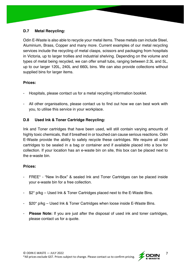#### **D.7 Metal Recycling:**

Odin E-Waste is also able to recycle your metal items. These metals can include Steel, Aluminium, Brass, Copper and many more. Current examples of our metal recycling services include the recycling of metal clasps, scissors and packaging from hospitals in Victoria, up to larger trollies and industrial shelving. Depending on the volume and types of metal being recycled, we can offer small tubs, ranging between 2.3L and 5L, up to our larger 120L, 240L and 660L bins. We can also provide collections without supplied bins for larger items.

#### **Prices:**

- Hospitals, please contact us for a metal recycling information booklet.
- All other organisations, please contact us to find out how we can best work with you, to utilise this service in your workplace.

#### **D.8 Used Ink & Toner Cartridge Recycling:**

Ink and Toner cartridges that have been used, will still contain varying amounts of highly toxic chemicals, that if breathed in or touched can cause serious reactions. Odin E-Waste provide the ability to safely recycle these cartridges. We require all used cartridges to be sealed in a bag or container and if available placed into a box for collection. If your location has an e-waste bin on site, this box can be placed next to the e-waste bin.

#### **Prices:**

- FREE\* "New In-Box" & sealed Ink and Toner Cartridges can be placed inside your e-waste bin for a free collection.
- \$2\* p/kg Used Ink & Toner Cartridges placed next to the E-Waste Bins.
- \$20\* p/kg Used Ink & Toner Cartridges when loose inside E-Waste Bins.
- **Please Note:** If you are just after the disposal of used ink and toner cartridges, please contact us for a quote.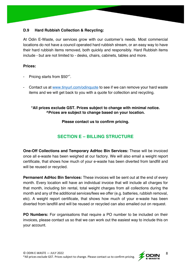#### **D.9 Hard Rubbish Collection & Recycling:**

At Odin E-Waste, our services grow with our customer's needs. Most commercial locations do not have a council operated hard rubbish stream, or an easy way to have their hard rubbish items removed, both quickly and responsibly. Hard Rubbish items include - but are not limited to - desks, chairs, cabinets, tables and more.

#### **Prices:**

- Pricing starts from \$50<sup>\*^</sup>.
- Contact us at www.tinyurl.com/odinquote to see if we can remove your hard waste items and we will get back to you with a quote for collection and recycling.

#### **\*All prices exclude GST. Prices subject to change with minimal notice. ^Prices are subject to change based on your location.**

**Please contact us to confirm pricing.**

# **SECTION E – BILLING STRUCTURE**

**One-Off Collections and Temporary AdHoc Bin Services:** These will be invoiced once all e-waste has been weighed at our factory. We will also email a weight report certificate, that shows how much of your e-waste has been diverted from landfill and will be reused or recycled.

**Permanent AdHoc Bin Services:** These invoices will be sent out at the end of every month. Every location will have an individual invoice that will include all charges for that month, including bin rental, total weight charges from all collections during the month and any of the additional services/fees we offer (e.g. batteries, rubbish removal, etc). A weight report certificate, that shows how much of your e-waste has been diverted from landfill and will be reused or recycled can also emailed out on request.

**PO Numbers:** For organisations that require a PO number to be included on their invoices, please contact us so that we can work out the easiest way to include this on your account.